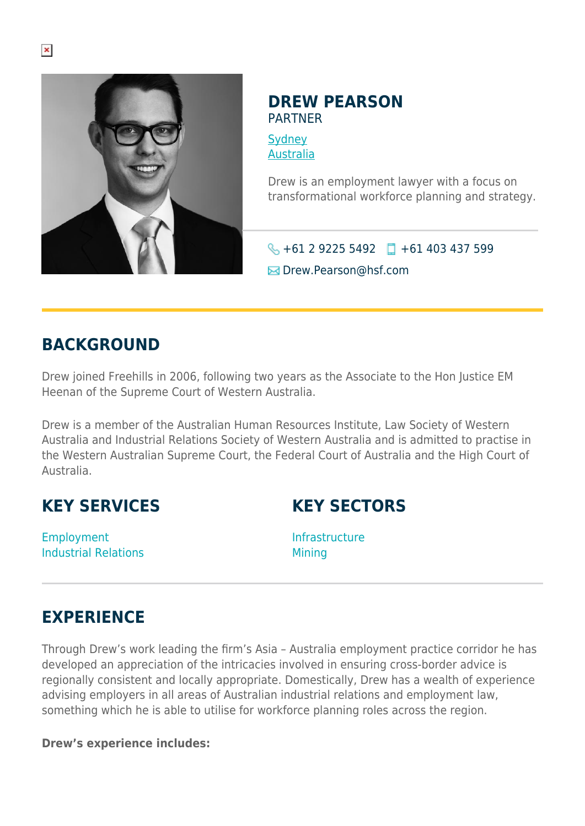

#### **DREW PEARSON** PARTNER

**[Sydney](https://www.herbertsmithfreehills.com/lang-ru/where-we-work/sydney)** [Australia](https://www.herbertsmithfreehills.com/lang-ru/where-we-work/australia)

Drew is an employment lawyer with a focus on transformational workforce planning and strategy.

 $\bigodot$  +61 2 9225 5492  $\Box$  +61 403 437 599

 $\boxtimes$  Drew.Pearson@hsf.com

## **BACKGROUND**

Drew joined Freehills in 2006, following two years as the Associate to the Hon Justice EM Heenan of the Supreme Court of Western Australia.

Drew is a member of the Australian Human Resources Institute, Law Society of Western Australia and Industrial Relations Society of Western Australia and is admitted to practise in the Western Australian Supreme Court, the Federal Court of Australia and the High Court of Australia.

## **KEY SERVICES**

**KEY SECTORS**

Employment Industrial Relations Infrastructure Mining

## **EXPERIENCE**

Through Drew's work leading the firm's Asia – Australia employment practice corridor he has developed an appreciation of the intricacies involved in ensuring cross-border advice is regionally consistent and locally appropriate. Domestically, Drew has a wealth of experience advising employers in all areas of Australian industrial relations and employment law, something which he is able to utilise for workforce planning roles across the region.

#### **Drew's experience includes:**